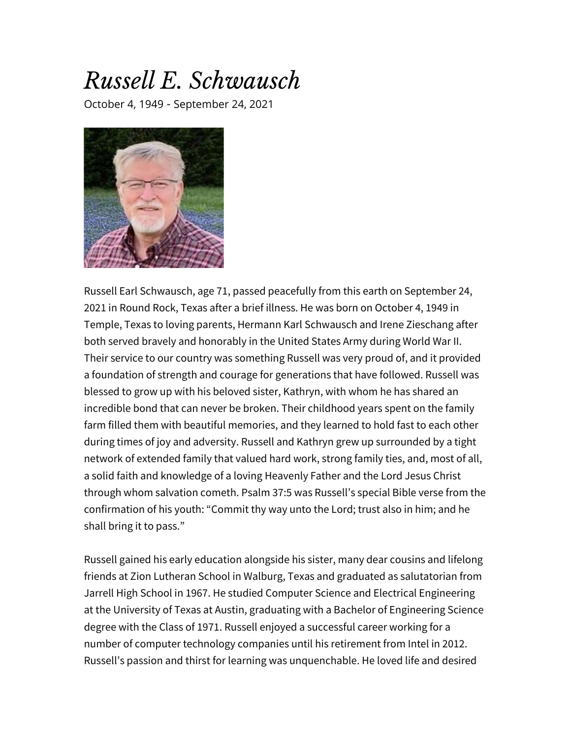## *Russell E. Schwausch*

October 4, 1949 - September 24, 2021



Russell Earl Schwausch, age 71, passed peacefully from this earth on September 24, 2021 in Round Rock, Texas after a brief illness. He was born on October 4, 1949 in Temple, Texas to loving parents, Hermann Karl Schwausch and Irene Zieschang after both served bravely and honorably in the United States Army during World War II. Their service to our country was something Russell was very proud of, and it provided a foundation of strength and courage for generations that have followed. Russell was blessed to grow up with his beloved sister, Kathryn, with whom he has shared an incredible bond that can never be broken. Their childhood years spent on the family farm filled them with beautiful memories, and they learned to hold fast to each other during times of joy and adversity. Russell and Kathryn grew up surrounded by a tight network of extended family that valued hard work, strong family ties, and, most of all, a solid faith and knowledge of a loving Heavenly Father and the Lord Jesus Christ through whom salvation cometh. Psalm 37:5 was Russell's special Bible verse from the confirmation of his youth: "Commit thy way unto the Lord; trust also in him; and he shall bring it to pass."

Russell gained his early education alongside his sister, many dear cousins and lifelong friends at Zion Lutheran School in Walburg, Texas and graduated as salutatorian from Jarrell High School in 1967. He studied Computer Science and Electrical Engineering at the University of Texas at Austin, graduating with a Bachelor of Engineering Science degree with the Class of 1971. Russell enjoyed a successful career working for a number of computer technology companies until his retirement from Intel in 2012. Russell's passion and thirst for learning was unquenchable. He loved life and desired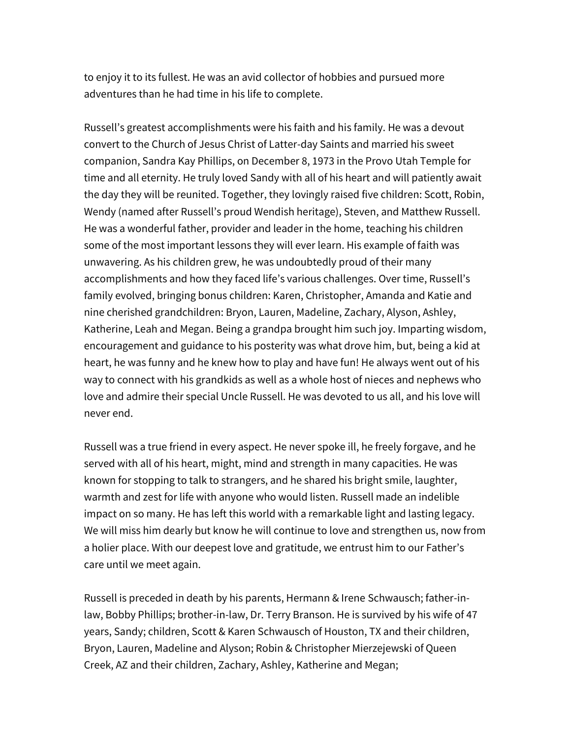to enjoy it to its fullest. He was an avid collector of hobbies and pursued more adventures than he had time in his life to complete.

Russell's greatest accomplishments were his faith and his family. He was a devout convert to the Church of Jesus Christ of Latter-day Saints and married his sweet companion, Sandra Kay Phillips, on December 8, 1973 in the Provo Utah Temple for time and all eternity. He truly loved Sandy with all of his heart and will patiently await the day they will be reunited. Together, they lovingly raised five children: Scott, Robin, Wendy (named after Russell's proud Wendish heritage), Steven, and Matthew Russell. He was a wonderful father, provider and leader in the home, teaching his children some of the most important lessons they will ever learn. His example of faith was unwavering. As his children grew, he was undoubtedly proud of their many accomplishments and how they faced life's various challenges. Over time, Russell's family evolved, bringing bonus children: Karen, Christopher, Amanda and Katie and nine cherished grandchildren: Bryon, Lauren, Madeline, Zachary, Alyson, Ashley, Katherine, Leah and Megan. Being a grandpa brought him such joy. Imparting wisdom, encouragement and guidance to his posterity was what drove him, but, being a kid at heart, he was funny and he knew how to play and have fun! He always went out of his way to connect with his grandkids as well as a whole host of nieces and nephews who love and admire their special Uncle Russell. He was devoted to us all, and his love will never end.

Russell was a true friend in every aspect. He never spoke ill, he freely forgave, and he served with all of his heart, might, mind and strength in many capacities. He was known for stopping to talk to strangers, and he shared his bright smile, laughter, warmth and zest for life with anyone who would listen. Russell made an indelible impact on so many. He has left this world with a remarkable light and lasting legacy. We will miss him dearly but know he will continue to love and strengthen us, now from a holier place. With our deepest love and gratitude, we entrust him to our Father's care until we meet again.

Russell is preceded in death by his parents, Hermann & Irene Schwausch; father-inlaw, Bobby Phillips; brother-in-law, Dr. Terry Branson. He is survived by his wife of 47 years, Sandy; children, Scott & Karen Schwausch of Houston, TX and their children, Bryon, Lauren, Madeline and Alyson; Robin & Christopher Mierzejewski of Queen Creek, AZ and their children, Zachary, Ashley, Katherine and Megan;